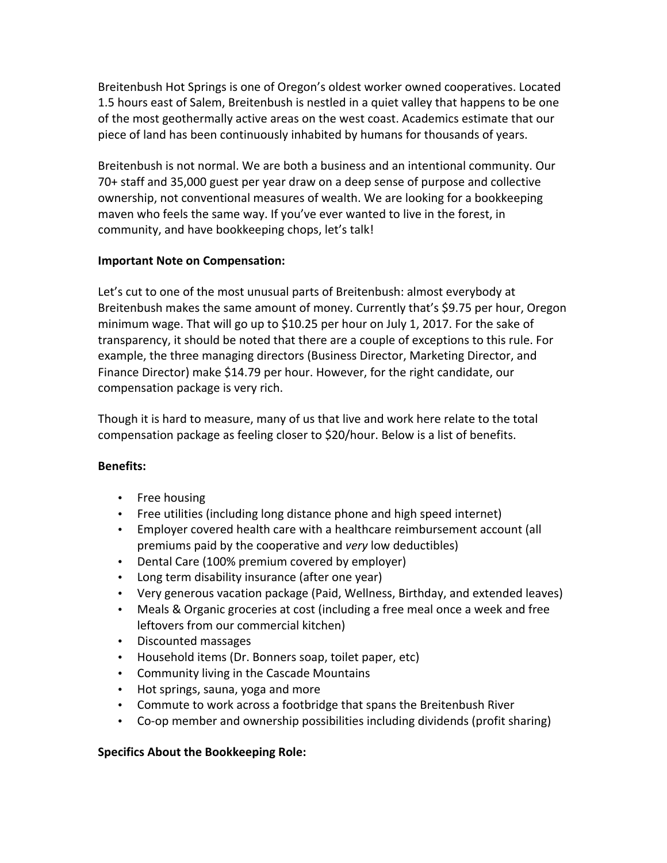Breitenbush Hot Springs is one of Oregon's oldest worker owned cooperatives. Located 1.5 hours east of Salem, Breitenbush is nestled in a quiet valley that happens to be one of the most geothermally active areas on the west coast. Academics estimate that our piece of land has been continuously inhabited by humans for thousands of years.

Breitenbush is not normal. We are both a business and an intentional community. Our 70+ staff and 35,000 guest per year draw on a deep sense of purpose and collective ownership, not conventional measures of wealth. We are looking for a bookkeeping maven who feels the same way. If you've ever wanted to live in the forest, in community, and have bookkeeping chops, let's talk!

## **Important Note on Compensation:**

Let's cut to one of the most unusual parts of Breitenbush: almost everybody at Breitenbush makes the same amount of money. Currently that's \$9.75 per hour, Oregon minimum wage. That will go up to \$10.25 per hour on July 1, 2017. For the sake of transparency, it should be noted that there are a couple of exceptions to this rule. For example, the three managing directors (Business Director, Marketing Director, and Finance Director) make \$14.79 per hour. However, for the right candidate, our compensation package is very rich.

Though it is hard to measure, many of us that live and work here relate to the total compensation package as feeling closer to \$20/hour. Below is a list of benefits.

## **Benefits:**

- Free housing
- Free utilities (including long distance phone and high speed internet)
- Employer covered health care with a healthcare reimbursement account (all premiums paid by the cooperative and *very* low deductibles)
- Dental Care (100% premium covered by employer)
- Long term disability insurance (after one year)
- Very generous vacation package (Paid, Wellness, Birthday, and extended leaves)
- Meals & Organic groceries at cost (including a free meal once a week and free leftovers from our commercial kitchen)
- Discounted massages
- Household items (Dr. Bonners soap, toilet paper, etc)
- Community living in the Cascade Mountains
- Hot springs, sauna, yoga and more
- Commute to work across a footbridge that spans the Breitenbush River
- Co-op member and ownership possibilities including dividends (profit sharing)

## **Specifics About the Bookkeeping Role:**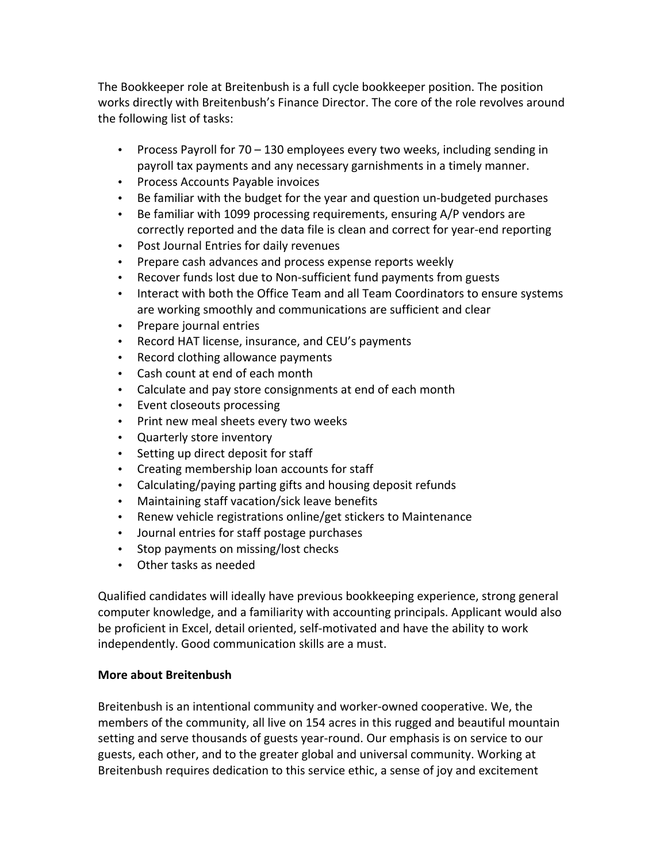The Bookkeeper role at Breitenbush is a full cycle bookkeeper position. The position works directly with Breitenbush's Finance Director. The core of the role revolves around the following list of tasks:

- Process Payroll for  $70 130$  employees every two weeks, including sending in payroll tax payments and any necessary garnishments in a timely manner.
- Process Accounts Payable invoices
- Be familiar with the budget for the year and question un-budgeted purchases
- Be familiar with 1099 processing requirements, ensuring  $A/P$  vendors are correctly reported and the data file is clean and correct for year-end reporting
- Post Journal Entries for daily revenues
- Prepare cash advances and process expense reports weekly
- Recover funds lost due to Non-sufficient fund payments from guests
- Interact with both the Office Team and all Team Coordinators to ensure systems are working smoothly and communications are sufficient and clear
- Prepare journal entries
- Record HAT license, insurance, and CEU's payments
- Record clothing allowance payments
- Cash count at end of each month
- Calculate and pay store consignments at end of each month
- Event closeouts processing
- Print new meal sheets every two weeks
- Quarterly store inventory
- Setting up direct deposit for staff
- Creating membership loan accounts for staff
- Calculating/paying parting gifts and housing deposit refunds
- Maintaining staff vacation/sick leave benefits
- Renew vehicle registrations online/get stickers to Maintenance
- Journal entries for staff postage purchases
- Stop payments on missing/lost checks
- Other tasks as needed

Qualified candidates will ideally have previous bookkeeping experience, strong general computer knowledge, and a familiarity with accounting principals. Applicant would also be proficient in Excel, detail oriented, self-motivated and have the ability to work independently. Good communication skills are a must.

## **More about Breitenbush**

Breitenbush is an intentional community and worker-owned cooperative. We, the members of the community, all live on 154 acres in this rugged and beautiful mountain setting and serve thousands of guests year-round. Our emphasis is on service to our guests, each other, and to the greater global and universal community. Working at Breitenbush requires dedication to this service ethic, a sense of joy and excitement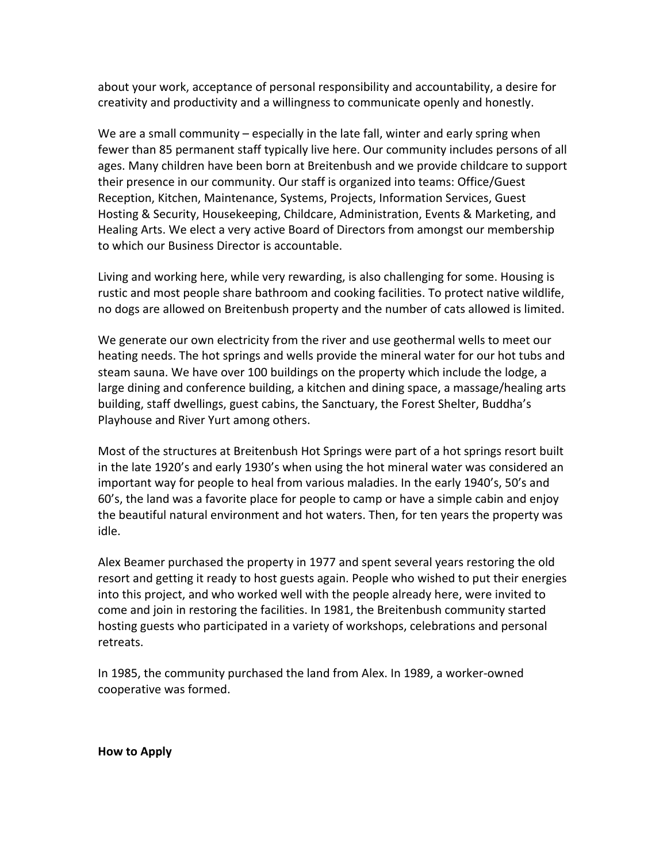about your work, acceptance of personal responsibility and accountability, a desire for creativity and productivity and a willingness to communicate openly and honestly.

We are a small community  $-$  especially in the late fall, winter and early spring when fewer than 85 permanent staff typically live here. Our community includes persons of all ages. Many children have been born at Breitenbush and we provide childcare to support their presence in our community. Our staff is organized into teams: Office/Guest Reception, Kitchen, Maintenance, Systems, Projects, Information Services, Guest Hosting & Security, Housekeeping, Childcare, Administration, Events & Marketing, and Healing Arts. We elect a very active Board of Directors from amongst our membership to which our Business Director is accountable.

Living and working here, while very rewarding, is also challenging for some. Housing is rustic and most people share bathroom and cooking facilities. To protect native wildlife, no dogs are allowed on Breitenbush property and the number of cats allowed is limited.

We generate our own electricity from the river and use geothermal wells to meet our heating needs. The hot springs and wells provide the mineral water for our hot tubs and steam sauna. We have over 100 buildings on the property which include the lodge, a large dining and conference building, a kitchen and dining space, a massage/healing arts building, staff dwellings, guest cabins, the Sanctuary, the Forest Shelter, Buddha's Playhouse and River Yurt among others.

Most of the structures at Breitenbush Hot Springs were part of a hot springs resort built in the late 1920's and early 1930's when using the hot mineral water was considered an important way for people to heal from various maladies. In the early 1940's, 50's and 60's, the land was a favorite place for people to camp or have a simple cabin and enjoy the beautiful natural environment and hot waters. Then, for ten years the property was idle.

Alex Beamer purchased the property in 1977 and spent several years restoring the old resort and getting it ready to host guests again. People who wished to put their energies into this project, and who worked well with the people already here, were invited to come and join in restoring the facilities. In 1981, the Breitenbush community started hosting guests who participated in a variety of workshops, celebrations and personal retreats.

In 1985, the community purchased the land from Alex. In 1989, a worker-owned cooperative was formed.

**How to Apply**